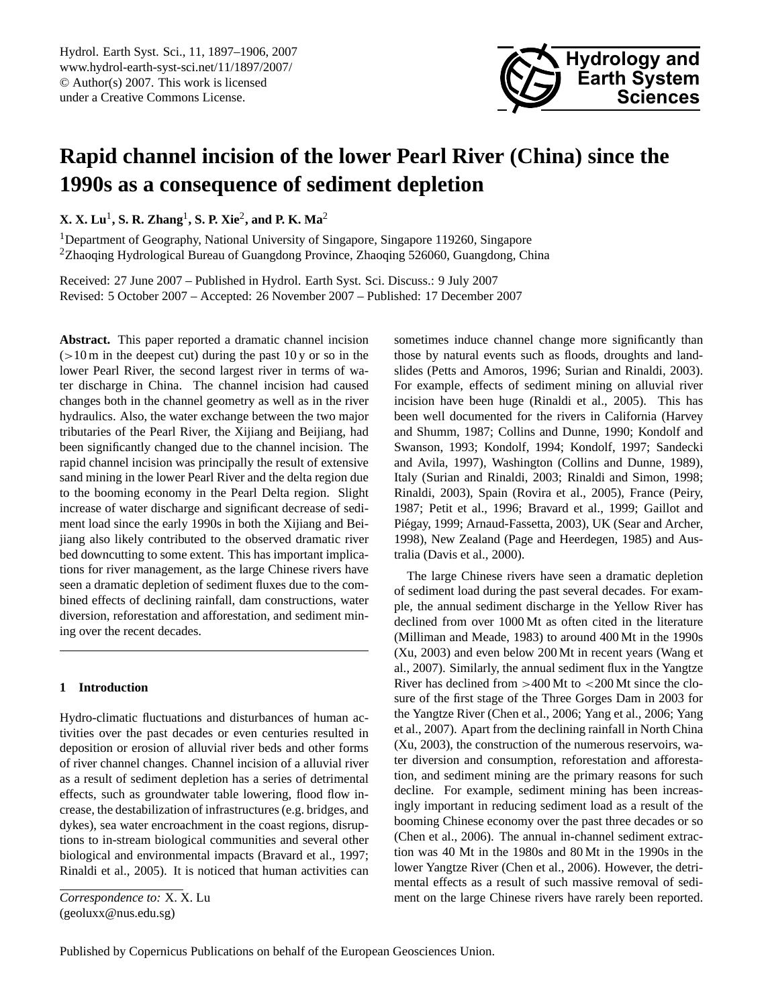<span id="page-0-0"></span>Hydrol. Earth Syst. Sci., 11, 1897–1906, 2007 www.hydrol-earth-syst-sci.net/11/1897/2007/ © Author(s) 2007. This work is licensed under a Creative Commons License.



# **Rapid channel incision of the lower Pearl River (China) since the 1990s as a consequence of sediment depletion**

**X. X. Lu**<sup>1</sup> **, S. R. Zhang**<sup>1</sup> **, S. P. Xie**<sup>2</sup> **, and P. K. Ma**<sup>2</sup>

<sup>1</sup>Department of Geography, National University of Singapore, Singapore 119260, Singapore <sup>2</sup>Zhaoqing Hydrological Bureau of Guangdong Province, Zhaoqing 526060, Guangdong, China

Received: 27 June 2007 – Published in Hydrol. Earth Syst. Sci. Discuss.: 9 July 2007 Revised: 5 October 2007 – Accepted: 26 November 2007 – Published: 17 December 2007

**Abstract.** This paper reported a dramatic channel incision  $(>10 \text{ m}$  in the deepest cut) during the past  $10 \text{ y}$  or so in the lower Pearl River, the second largest river in terms of water discharge in China. The channel incision had caused changes both in the channel geometry as well as in the river hydraulics. Also, the water exchange between the two major tributaries of the Pearl River, the Xijiang and Beijiang, had been significantly changed due to the channel incision. The rapid channel incision was principally the result of extensive sand mining in the lower Pearl River and the delta region due to the booming economy in the Pearl Delta region. Slight increase of water discharge and significant decrease of sediment load since the early 1990s in both the Xijiang and Beijiang also likely contributed to the observed dramatic river bed downcutting to some extent. This has important implications for river management, as the large Chinese rivers have seen a dramatic depletion of sediment fluxes due to the combined effects of declining rainfall, dam constructions, water diversion, reforestation and afforestation, and sediment mining over the recent decades.

# **1 Introduction**

Hydro-climatic fluctuations and disturbances of human activities over the past decades or even centuries resulted in deposition or erosion of alluvial river beds and other forms of river channel changes. Channel incision of a alluvial river as a result of sediment depletion has a series of detrimental effects, such as groundwater table lowering, flood flow increase, the destabilization of infrastructures (e.g. bridges, and dykes), sea water encroachment in the coast regions, disruptions to in-stream biological communities and several other biological and environmental impacts (Bravard et al., 1997; Rinaldi et al., 2005). It is noticed that human activities can sometimes induce channel change more significantly than those by natural events such as floods, droughts and landslides (Petts and Amoros, 1996; Surian and Rinaldi, 2003). For example, effects of sediment mining on alluvial river incision have been huge (Rinaldi et al., 2005). This has been well documented for the rivers in California (Harvey and Shumm, 1987; Collins and Dunne, 1990; Kondolf and Swanson, 1993; Kondolf, 1994; Kondolf, 1997; Sandecki and Avila, 1997), Washington (Collins and Dunne, 1989), Italy (Surian and Rinaldi, 2003; Rinaldi and Simon, 1998; Rinaldi, 2003), Spain (Rovira et al., 2005), France (Peiry, 1987; Petit et al., 1996; Bravard et al., 1999; Gaillot and Piégay, 1999; Arnaud-Fassetta, 2003), UK (Sear and Archer, 1998), New Zealand (Page and Heerdegen, 1985) and Australia (Davis et al., 2000).

The large Chinese rivers have seen a dramatic depletion of sediment load during the past several decades. For example, the annual sediment discharge in the Yellow River has declined from over 1000 Mt as often cited in the literature (Milliman and Meade, 1983) to around 400 Mt in the 1990s (Xu, 2003) and even below 200 Mt in recent years (Wang et al., 2007). Similarly, the annual sediment flux in the Yangtze River has declined from >400 Mt to <200 Mt since the closure of the first stage of the Three Gorges Dam in 2003 for the Yangtze River (Chen et al., 2006; Yang et al., 2006; Yang et al., 2007). Apart from the declining rainfall in North China (Xu, 2003), the construction of the numerous reservoirs, water diversion and consumption, reforestation and afforestation, and sediment mining are the primary reasons for such decline. For example, sediment mining has been increasingly important in reducing sediment load as a result of the booming Chinese economy over the past three decades or so (Chen et al., 2006). The annual in-channel sediment extraction was 40 Mt in the 1980s and 80 Mt in the 1990s in the lower Yangtze River (Chen et al., 2006). However, the detrimental effects as a result of such massive removal of sediment on the large Chinese rivers have rarely been reported.

*Correspondence to:* X. X. Lu (geoluxx@nus.edu.sg)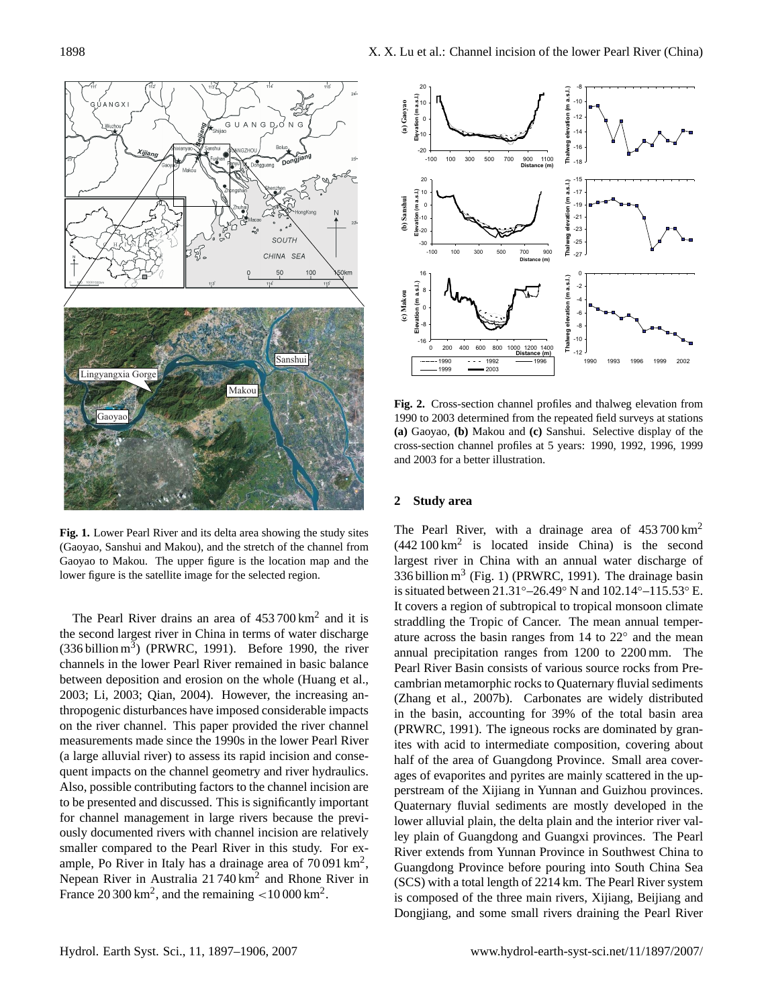

**Fig. 1.** Lower Pearl River and its delta area showing the study sites (Gaoyao, Sanshui and Makou), and the stretch of the channel from Gaoyao to Makou. The upper figure is the location map and the lower figure is the satellite image for the selected region.

The Pearl River drains an area of  $453700 \text{ km}^2$  and it is the second largest river in China in terms of water discharge  $(336 \text{ billion m}^3)$  (PRWRC, 1991). Before 1990, the river channels in the lower Pearl River remained in basic balance between deposition and erosion on the whole (Huang et al., 2003; Li, 2003; Qian, 2004). However, the increasing anthropogenic disturbances have imposed considerable impacts on the river channel. This paper provided the river channel measurements made since the 1990s in the lower Pearl River (a large alluvial river) to assess its rapid incision and consequent impacts on the channel geometry and river hydraulics. Also, possible contributing factors to the channel incision are to be presented and discussed. This is significantly important for channel management in large rivers because the previously documented rivers with channel incision are relatively smaller compared to the Pearl River in this study. For example, Po River in Italy has a drainage area of  $70091 \text{ km}^2$ , Nepean River in Australia 21740 km<sup>2</sup> and Rhone River in France 20 300  $\text{km}^2$ , and the remaining  $\textless 10\,000$  km<sup>2</sup>.



**Fig. 2.** Cross-section channel profiles and thalweg elevation from 1990 to 2003 determined from the repeated field surveys at stations **(a)** Gaoyao, **(b)** Makou and **(c)** Sanshui. Selective display of the cross-section channel profiles at 5 years: 1990, 1992, 1996, 1999 and 2003 for a better illustration.

## **2 Study area**

The Pearl River, with a drainage area of  $453700 \text{ km}^2$  $(442100 \text{ km}^2)$  is located inside China) is the second largest river in China with an annual water discharge of 336 billion  $m^3$  (Fig. 1) (PRWRC, 1991). The drainage basin is situated between 21.31◦–26.49◦ N and 102.14◦–115.53◦ E. It covers a region of subtropical to tropical monsoon climate straddling the Tropic of Cancer. The mean annual temperature across the basin ranges from 14 to 22◦ and the mean annual precipitation ranges from 1200 to 2200 mm. The Pearl River Basin consists of various source rocks from Precambrian metamorphic rocks to Quaternary fluvial sediments (Zhang et al., 2007b). Carbonates are widely distributed in the basin, accounting for 39% of the total basin area (PRWRC, 1991). The igneous rocks are dominated by granites with acid to intermediate composition, covering about half of the area of Guangdong Province. Small area coverages of evaporites and pyrites are mainly scattered in the upperstream of the Xijiang in Yunnan and Guizhou provinces. Quaternary fluvial sediments are mostly developed in the lower alluvial plain, the delta plain and the interior river valley plain of Guangdong and Guangxi provinces. The Pearl River extends from Yunnan Province in Southwest China to Guangdong Province before pouring into South China Sea (SCS) with a total length of 2214 km. The Pearl River system is composed of the three main rivers, Xijiang, Beijiang and Dongjiang, and some small rivers draining the Pearl River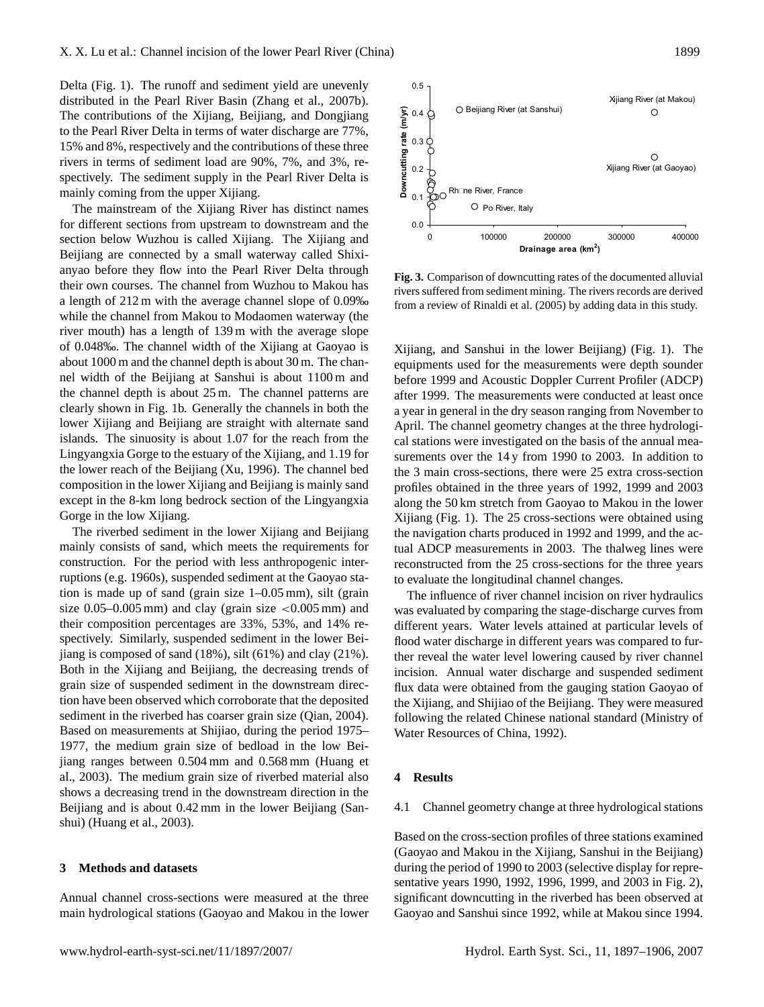Delta (Fig. 1). The runoff and sediment yield are unevenly distributed in the Pearl River Basin (Zhang et al., 2007b). The contributions of the Xijiang, Beijiang, and Dongjiang to the Pearl River Delta in terms of water discharge are 77%, 15% and 8%, respectively and the contributions of these three rivers in terms of sediment load are 90%, 7%, and 3%, respectively. The sediment supply in the Pearl River Delta is mainly coming from the upper Xijiang.

The mainstream of the Xijiang River has distinct names for different sections from upstream to downstream and the section below Wuzhou is called Xijiang. The Xijiang and Beijiang are connected by a small waterway called Shixianyao before they flow into the Pearl River Delta through their own courses. The channel from Wuzhou to Makou has a length of 212 m with the average channel slope of 0.09‰ while the channel from Makou to Modaomen waterway (the river mouth) has a length of 139 m with the average slope of 0.048‰. The channel width of the Xijiang at Gaoyao is about 1000 m and the channel depth is about 30 m. The channel width of the Beijiang at Sanshui is about 1100 m and the channel depth is about 25 m. The channel patterns are clearly shown in Fig. 1b. Generally the channels in both the lower Xijiang and Beijiang are straight with alternate sand islands. The sinuosity is about 1.07 for the reach from the Lingyangxia Gorge to the estuary of the Xijiang, and 1.19 for the lower reach of the Beijiang (Xu, 1996). The channel bed composition in the lower Xijiang and Beijiang is mainly sand except in the 8-km long bedrock section of the Lingyangxia Gorge in the low Xijiang.

The riverbed sediment in the lower Xijiang and Beijiang mainly consists of sand, which meets the requirements for construction. For the period with less anthropogenic interruptions (e.g. 1960s), suspended sediment at the Gaoyao station is made up of sand (grain size 1–0.05 mm), silt (grain size  $0.05-0.005$  mm) and clay (grain size  $\lt 0.005$  mm) and their composition percentages are 33%, 53%, and 14% respectively. Similarly, suspended sediment in the lower Beijiang is composed of sand (18%), silt (61%) and clay (21%). Both in the Xijiang and Beijiang, the decreasing trends of grain size of suspended sediment in the downstream direction have been observed which corroborate that the deposited sediment in the riverbed has coarser grain size (Qian, 2004). Based on measurements at Shijiao, during the period 1975– 1977, the medium grain size of bedload in the low Beijiang ranges between 0.504 mm and 0.568 mm (Huang et al., 2003). The medium grain size of riverbed material also shows a decreasing trend in the downstream direction in the Beijiang and is about 0.42 mm in the lower Beijiang (Sanshui) (Huang et al., 2003).

## **3 Methods and datasets**

Annual channel cross-sections were measured at the three main hydrological stations (Gaoyao and Makou in the lower



**Fig. 3.** Comparison of downcutting rates of the documented alluvial rivers suffered from sediment mining. The rivers records are derived from a review of Rinaldi et al. (2005) by adding data in this study.

Xijiang, and Sanshui in the lower Beijiang) (Fig. 1). The equipments used for the measurements were depth sounder before 1999 and Acoustic Doppler Current Profiler (ADCP) after 1999. The measurements were conducted at least once a year in general in the dry season ranging from November to April. The channel geometry changes at the three hydrological stations were investigated on the basis of the annual measurements over the 14 y from 1990 to 2003. In addition to the 3 main cross-sections, there were 25 extra cross-section profiles obtained in the three years of 1992, 1999 and 2003 along the 50 km stretch from Gaoyao to Makou in the lower Xijiang (Fig. 1). The 25 cross-sections were obtained using the navigation charts produced in 1992 and 1999, and the actual ADCP measurements in 2003. The thalweg lines were reconstructed from the 25 cross-sections for the three years to evaluate the longitudinal channel changes.

The influence of river channel incision on river hydraulics was evaluated by comparing the stage-discharge curves from different years. Water levels attained at particular levels of flood water discharge in different years was compared to further reveal the water level lowering caused by river channel incision. Annual water discharge and suspended sediment flux data were obtained from the gauging station Gaoyao of the Xijiang, and Shijiao of the Beijiang. They were measured following the related Chinese national standard (Ministry of Water Resources of China, 1992).

#### **4 Results**

### 4.1 Channel geometry change at three hydrological stations

Based on the cross-section profiles of three stations examined (Gaoyao and Makou in the Xijiang, Sanshui in the Beijiang) during the period of 1990 to 2003 (selective display for representative years 1990, 1992, 1996, 1999, and 2003 in Fig. 2), significant downcutting in the riverbed has been observed at Gaoyao and Sanshui since 1992, while at Makou since 1994.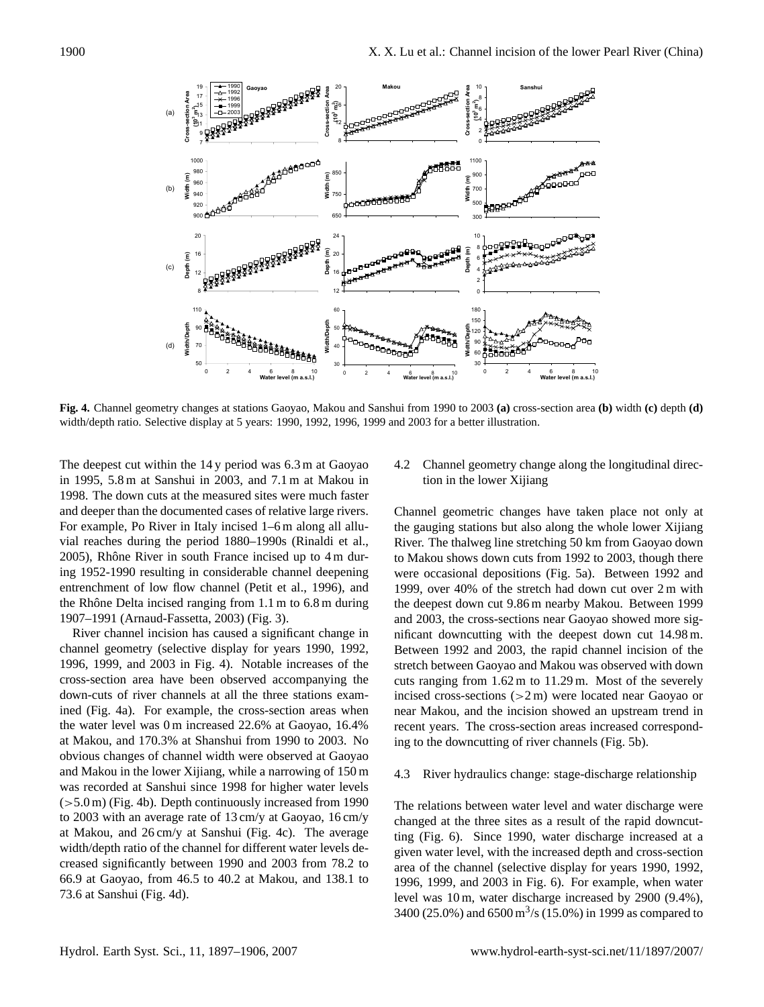

**Fig. 4.** Channel geometry changes at stations Gaoyao, Makou and Sanshui from 1990 to 2003 **(a)** cross-section area **(b)** width **(c)** depth **(d)** width/depth ratio. Selective display at 5 years: 1990, 1992, 1996, 1999 and 2003 for a better illustration.

The deepest cut within the 14 y period was 6.3 m at Gaoyao in 1995, 5.8 m at Sanshui in 2003, and 7.1 m at Makou in 1998. The down cuts at the measured sites were much faster and deeper than the documented cases of relative large rivers. For example, Po River in Italy incised 1–6 m along all alluvial reaches during the period 1880–1990s (Rinaldi et al.,  $2005$ ), Rhône River in south France incised up to  $4 \text{ m}$  during 1952-1990 resulting in considerable channel deepening entrenchment of low flow channel (Petit et al., 1996), and the Rhône Delta incised ranging from  $1.1 \text{ m}$  to  $6.8 \text{ m}$  during 1907–1991 (Arnaud-Fassetta, 2003) (Fig. 3).

River channel incision has caused a significant change in channel geometry (selective display for years 1990, 1992, 1996, 1999, and 2003 in Fig. 4). Notable increases of the cross-section area have been observed accompanying the down-cuts of river channels at all the three stations examined (Fig. 4a). For example, the cross-section areas when the water level was 0 m increased 22.6% at Gaoyao, 16.4% at Makou, and 170.3% at Shanshui from 1990 to 2003. No obvious changes of channel width were observed at Gaoyao and Makou in the lower Xijiang, while a narrowing of 150 m was recorded at Sanshui since 1998 for higher water levels  $(5.0 \text{ m})$  (Fig. 4b). Depth continuously increased from 1990 to 2003 with an average rate of 13 cm/y at Gaoyao, 16 cm/y at Makou, and 26 cm/y at Sanshui (Fig. 4c). The average width/depth ratio of the channel for different water levels decreased significantly between 1990 and 2003 from 78.2 to 66.9 at Gaoyao, from 46.5 to 40.2 at Makou, and 138.1 to 73.6 at Sanshui (Fig. 4d).

4.2 Channel geometry change along the longitudinal direction in the lower Xijiang

Channel geometric changes have taken place not only at the gauging stations but also along the whole lower Xijiang River. The thalweg line stretching 50 km from Gaoyao down to Makou shows down cuts from 1992 to 2003, though there were occasional depositions (Fig. 5a). Between 1992 and 1999, over 40% of the stretch had down cut over 2 m with the deepest down cut 9.86 m nearby Makou. Between 1999 and 2003, the cross-sections near Gaoyao showed more significant downcutting with the deepest down cut 14.98 m. Between 1992 and 2003, the rapid channel incision of the stretch between Gaoyao and Makou was observed with down cuts ranging from 1.62 m to 11.29 m. Most of the severely incised cross-sections (>2 m) were located near Gaoyao or near Makou, and the incision showed an upstream trend in recent years. The cross-section areas increased corresponding to the downcutting of river channels (Fig. 5b).

#### 4.3 River hydraulics change: stage-discharge relationship

The relations between water level and water discharge were changed at the three sites as a result of the rapid downcutting (Fig. 6). Since 1990, water discharge increased at a given water level, with the increased depth and cross-section area of the channel (selective display for years 1990, 1992, 1996, 1999, and 2003 in Fig. 6). For example, when water level was 10 m, water discharge increased by 2900 (9.4%), 3400 (25.0%) and 6500 m<sup>3</sup>/s (15.0%) in 1999 as compared to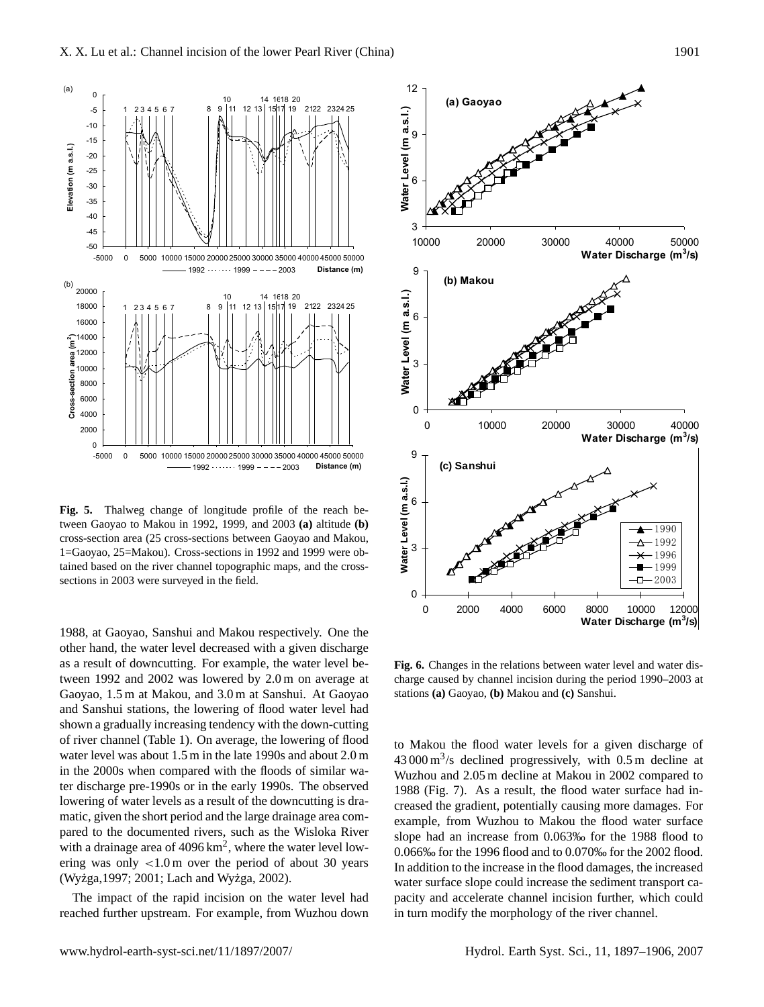

**Fig. 5.** Thalweg change of longitude profile of the reach between Gaoyao to Makou in 1992, 1999, and 2003 **(a)** altitude **(b)** cross-section area (25 cross-sections between Gaoyao and Makou, 1=Gaoyao, 25=Makou). Cross-sections in 1992 and 1999 were obtained based on the river channel topographic maps, and the crosssections in 2003 were surveyed in the field.

1988, at Gaoyao, Sanshui and Makou respectively. One the other hand, the water level decreased with a given discharge as a result of downcutting. For example, the water level between 1992 and 2002 was lowered by 2.0 m on average at Gaoyao, 1.5 m at Makou, and 3.0 m at Sanshui. At Gaoyao and Sanshui stations, the lowering of flood water level had shown a gradually increasing tendency with the down-cutting of river channel (Table 1). On average, the lowering of flood water level was about 1.5 m in the late 1990s and about 2.0 m in the 2000s when compared with the floods of similar water discharge pre-1990s or in the early 1990s. The observed lowering of water levels as a result of the downcutting is dramatic, given the short period and the large drainage area compared to the documented rivers, such as the Wisloka River with a drainage area of  $4096 \text{ km}^2$ , where the water level lowering was only  $< 1.0 \text{ m}$  over the period of about 30 years (Wyżga, 1997; 2001; Lach and Wyżga, 2002).

The impact of the rapid incision on the water level had reached further upstream. For example, from Wuzhou down



**Fig. 6.** Changes in the relations between water level and water discharge caused by channel incision during the period 1990–2003 at stations **(a)** Gaoyao, **(b)** Makou and **(c)** Sanshui.

to Makou the flood water levels for a given discharge of  $43000 \,\mathrm{m}^3/\mathrm{s}$  declined progressively, with 0.5 m decline at Wuzhou and 2.05 m decline at Makou in 2002 compared to 1988 (Fig. 7). As a result, the flood water surface had increased the gradient, potentially causing more damages. For example, from Wuzhou to Makou the flood water surface slope had an increase from 0.063‰ for the 1988 flood to 0.066‰ for the 1996 flood and to 0.070‰ for the 2002 flood. In addition to the increase in the flood damages, the increased water surface slope could increase the sediment transport capacity and accelerate channel incision further, which could in turn modify the morphology of the river channel.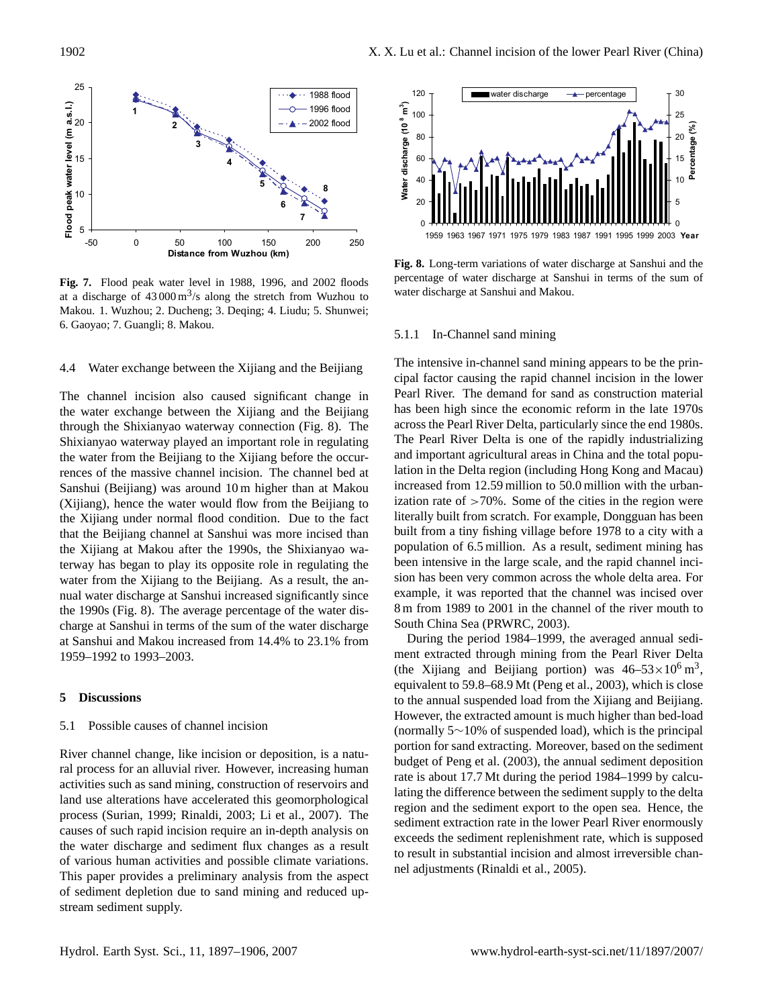

**Fig. 7.** Flood peak water level in 1988, 1996, and 2002 floods at a discharge of  $43000 \,\mathrm{m}^3/\mathrm{s}$  along the stretch from Wuzhou to Makou. 1. Wuzhou; 2. Ducheng; 3. Deqing; 4. Liudu; 5. Shunwei; 6. Gaoyao; 7. Guangli; 8. Makou.

# 4.4 Water exchange between the Xijiang and the Beijiang

The channel incision also caused significant change in the water exchange between the Xijiang and the Beijiang through the Shixianyao waterway connection (Fig. 8). The Shixianyao waterway played an important role in regulating the water from the Beijiang to the Xijiang before the occurrences of the massive channel incision. The channel bed at Sanshui (Beijiang) was around 10 m higher than at Makou (Xijiang), hence the water would flow from the Beijiang to the Xijiang under normal flood condition. Due to the fact that the Beijiang channel at Sanshui was more incised than the Xijiang at Makou after the 1990s, the Shixianyao waterway has began to play its opposite role in regulating the water from the Xijiang to the Beijiang. As a result, the annual water discharge at Sanshui increased significantly since the 1990s (Fig. 8). The average percentage of the water discharge at Sanshui in terms of the sum of the water discharge at Sanshui and Makou increased from 14.4% to 23.1% from 1959–1992 to 1993–2003.

## **5 Discussions**

## 5.1 Possible causes of channel incision

River channel change, like incision or deposition, is a natural process for an alluvial river. However, increasing human activities such as sand mining, construction of reservoirs and land use alterations have accelerated this geomorphological process (Surian, 1999; Rinaldi, 2003; Li et al., 2007). The causes of such rapid incision require an in-depth analysis on the water discharge and sediment flux changes as a result of various human activities and possible climate variations. This paper provides a preliminary analysis from the aspect of sediment depletion due to sand mining and reduced upstream sediment supply.



**Fig. 8.** Long-term variations of water discharge at Sanshui and the percentage of water discharge at Sanshui in terms of the sum of water discharge at Sanshui and Makou.

#### 5.1.1 In-Channel sand mining

The intensive in-channel sand mining appears to be the principal factor causing the rapid channel incision in the lower Pearl River. The demand for sand as construction material has been high since the economic reform in the late 1970s across the Pearl River Delta, particularly since the end 1980s. The Pearl River Delta is one of the rapidly industrializing and important agricultural areas in China and the total population in the Delta region (including Hong Kong and Macau) increased from 12.59 million to 50.0 million with the urbanization rate of  $>70\%$ . Some of the cities in the region were literally built from scratch. For example, Dongguan has been built from a tiny fishing village before 1978 to a city with a population of 6.5 million. As a result, sediment mining has been intensive in the large scale, and the rapid channel incision has been very common across the whole delta area. For example, it was reported that the channel was incised over 8 m from 1989 to 2001 in the channel of the river mouth to South China Sea (PRWRC, 2003).

During the period 1984–1999, the averaged annual sediment extracted through mining from the Pearl River Delta (the Xijiang and Beijiang portion) was  $46-53 \times 10^6$  m<sup>3</sup>, equivalent to 59.8–68.9 Mt (Peng et al., 2003), which is close to the annual suspended load from the Xijiang and Beijiang. However, the extracted amount is much higher than bed-load (normally 5∼10% of suspended load), which is the principal portion for sand extracting. Moreover, based on the sediment budget of Peng et al. (2003), the annual sediment deposition rate is about 17.7 Mt during the period 1984–1999 by calculating the difference between the sediment supply to the delta region and the sediment export to the open sea. Hence, the sediment extraction rate in the lower Pearl River enormously exceeds the sediment replenishment rate, which is supposed to result in substantial incision and almost irreversible channel adjustments (Rinaldi et al., 2005).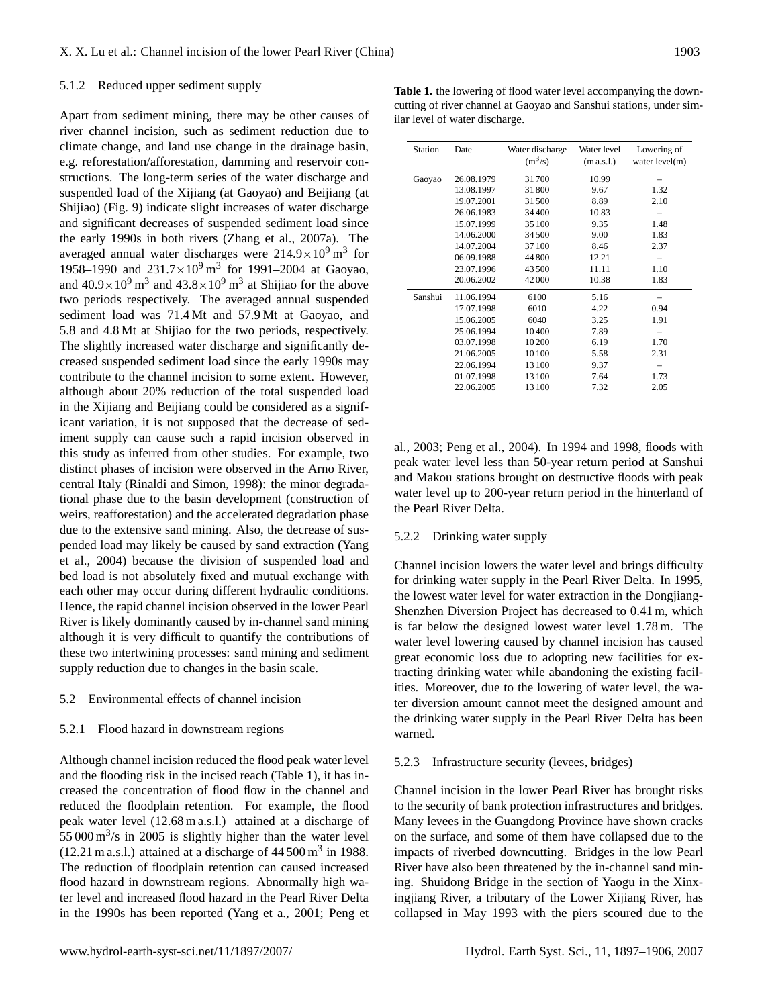## 5.1.2 Reduced upper sediment supply

Apart from sediment mining, there may be other causes of river channel incision, such as sediment reduction due to climate change, and land use change in the drainage basin, e.g. reforestation/afforestation, damming and reservoir constructions. The long-term series of the water discharge and suspended load of the Xijiang (at Gaoyao) and Beijiang (at Shijiao) (Fig. 9) indicate slight increases of water discharge and significant decreases of suspended sediment load since the early 1990s in both rivers (Zhang et al., 2007a). The averaged annual water discharges were  $214.9 \times 10^{9}$  m<sup>3</sup> for 1958–1990 and  $231.7 \times 10^{9}$  m<sup>3</sup> for 1991–2004 at Gaoyao, and  $40.9 \times 10^9$  m<sup>3</sup> and  $43.8 \times 10^9$  m<sup>3</sup> at Shijiao for the above two periods respectively. The averaged annual suspended sediment load was 71.4 Mt and 57.9 Mt at Gaoyao, and 5.8 and 4.8 Mt at Shijiao for the two periods, respectively. The slightly increased water discharge and significantly decreased suspended sediment load since the early 1990s may contribute to the channel incision to some extent. However, although about 20% reduction of the total suspended load in the Xijiang and Beijiang could be considered as a significant variation, it is not supposed that the decrease of sediment supply can cause such a rapid incision observed in this study as inferred from other studies. For example, two distinct phases of incision were observed in the Arno River, central Italy (Rinaldi and Simon, 1998): the minor degradational phase due to the basin development (construction of weirs, reafforestation) and the accelerated degradation phase due to the extensive sand mining. Also, the decrease of suspended load may likely be caused by sand extraction (Yang et al., 2004) because the division of suspended load and bed load is not absolutely fixed and mutual exchange with each other may occur during different hydraulic conditions. Hence, the rapid channel incision observed in the lower Pearl River is likely dominantly caused by in-channel sand mining although it is very difficult to quantify the contributions of these two intertwining processes: sand mining and sediment supply reduction due to changes in the basin scale.

## 5.2 Environmental effects of channel incision

#### 5.2.1 Flood hazard in downstream regions

Although channel incision reduced the flood peak water level and the flooding risk in the incised reach (Table 1), it has increased the concentration of flood flow in the channel and reduced the floodplain retention. For example, the flood peak water level (12.68 m a.s.l.) attained at a discharge of  $55000 \,\mathrm{m}^3/\mathrm{s}$  in 2005 is slightly higher than the water level  $(12.21 \text{ m a.s.}.)$  attained at a discharge of  $44500 \text{ m}^3$  in 1988. The reduction of floodplain retention can caused increased flood hazard in downstream regions. Abnormally high water level and increased flood hazard in the Pearl River Delta in the 1990s has been reported (Yang et a., 2001; Peng et

**Table 1.** the lowering of flood water level accompanying the downcutting of river channel at Gaoyao and Sanshui stations, under similar level of water discharge.

| Station | Date       | Water discharge<br>$(m^3/s)$ | Water level<br>(m a.s.l.) | Lowering of<br>water level(m) |
|---------|------------|------------------------------|---------------------------|-------------------------------|
| Gaoyao  | 26.08.1979 | 31700                        | 10.99                     |                               |
|         | 13.08.1997 | 31800                        | 9.67                      | 1.32                          |
|         | 19.07.2001 | 31500                        | 8.89                      | 2.10                          |
|         | 26.06.1983 | 34400                        | 10.83                     |                               |
|         | 15.07.1999 | 35 100                       | 9.35                      | 1.48                          |
|         | 14.06.2000 | 34 500                       | 9.00                      | 1.83                          |
|         | 14.07.2004 | 37100                        | 8.46                      | 2.37                          |
|         | 06.09.1988 | 44 800                       | 12.21                     |                               |
|         | 23.07.1996 | 43500                        | 11.11                     | 1.10                          |
|         | 20.06.2002 | 42000                        | 10.38                     | 1.83                          |
| Sanshui | 11.06.1994 | 6100                         | 5.16                      |                               |
|         | 17.07.1998 | 6010                         | 4.22                      | 0.94                          |
|         | 15.06.2005 | 6040                         | 3.25                      | 1.91                          |
|         | 25.06.1994 | 10400                        | 7.89                      |                               |
|         | 03.07.1998 | 10200                        | 6.19                      | 1.70                          |
|         | 21.06.2005 | 10 100                       | 5.58                      | 2.31                          |
|         | 22.06.1994 | 13 100                       | 9.37                      |                               |
|         | 01.07.1998 | 13 100                       | 7.64                      | 1.73                          |
|         | 22.06.2005 | 13 100                       | 7.32                      | 2.05                          |

al., 2003; Peng et al., 2004). In 1994 and 1998, floods with peak water level less than 50-year return period at Sanshui and Makou stations brought on destructive floods with peak water level up to 200-year return period in the hinterland of the Pearl River Delta.

## 5.2.2 Drinking water supply

Channel incision lowers the water level and brings difficulty for drinking water supply in the Pearl River Delta. In 1995, the lowest water level for water extraction in the Dongjiang-Shenzhen Diversion Project has decreased to 0.41 m, which is far below the designed lowest water level 1.78 m. The water level lowering caused by channel incision has caused great economic loss due to adopting new facilities for extracting drinking water while abandoning the existing facilities. Moreover, due to the lowering of water level, the water diversion amount cannot meet the designed amount and the drinking water supply in the Pearl River Delta has been warned.

## 5.2.3 Infrastructure security (levees, bridges)

Channel incision in the lower Pearl River has brought risks to the security of bank protection infrastructures and bridges. Many levees in the Guangdong Province have shown cracks on the surface, and some of them have collapsed due to the impacts of riverbed downcutting. Bridges in the low Pearl River have also been threatened by the in-channel sand mining. Shuidong Bridge in the section of Yaogu in the Xinxingjiang River, a tributary of the Lower Xijiang River, has collapsed in May 1993 with the piers scoured due to the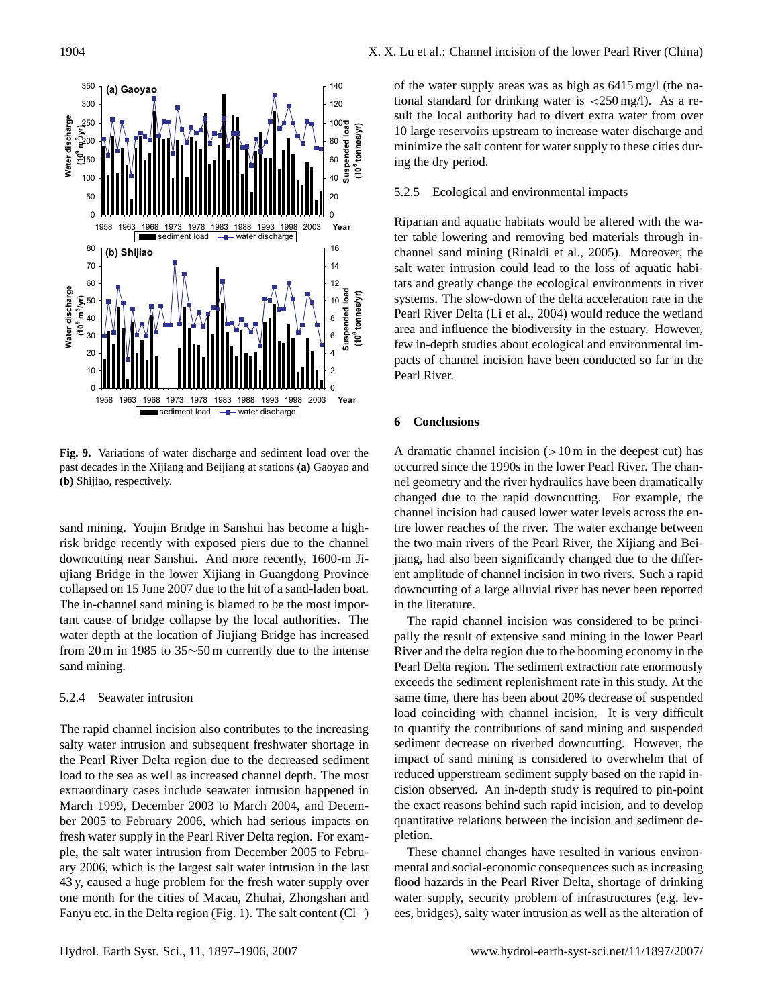

**Fig. 9.** Variations of water discharge and sediment load over the past decades in the Xijiang and Beijiang at stations **(a)** Gaoyao and **(b)** Shijiao, respectively.

sand mining. Youjin Bridge in Sanshui has become a highrisk bridge recently with exposed piers due to the channel downcutting near Sanshui. And more recently, 1600-m Jiujiang Bridge in the lower Xijiang in Guangdong Province collapsed on 15 June 2007 due to the hit of a sand-laden boat. The in-channel sand mining is blamed to be the most important cause of bridge collapse by the local authorities. The water depth at the location of Jiujiang Bridge has increased from 20 m in 1985 to 35∼50 m currently due to the intense sand mining.

## 5.2.4 Seawater intrusion

The rapid channel incision also contributes to the increasing salty water intrusion and subsequent freshwater shortage in the Pearl River Delta region due to the decreased sediment load to the sea as well as increased channel depth. The most extraordinary cases include seawater intrusion happened in March 1999, December 2003 to March 2004, and December 2005 to February 2006, which had serious impacts on fresh water supply in the Pearl River Delta region. For example, the salt water intrusion from December 2005 to February 2006, which is the largest salt water intrusion in the last 43 y, caused a huge problem for the fresh water supply over one month for the cities of Macau, Zhuhai, Zhongshan and Fanyu etc. in the Delta region (Fig. 1). The salt content (Cl−) of the water supply areas was as high as 6415 mg/l (the national standard for drinking water is  $\langle 250 \text{ mg/l} \rangle$ . As a result the local authority had to divert extra water from over 10 large reservoirs upstream to increase water discharge and minimize the salt content for water supply to these cities during the dry period.

# 5.2.5 Ecological and environmental impacts

Riparian and aquatic habitats would be altered with the water table lowering and removing bed materials through inchannel sand mining (Rinaldi et al., 2005). Moreover, the salt water intrusion could lead to the loss of aquatic habitats and greatly change the ecological environments in river systems. The slow-down of the delta acceleration rate in the Pearl River Delta (Li et al., 2004) would reduce the wetland area and influence the biodiversity in the estuary. However, few in-depth studies about ecological and environmental impacts of channel incision have been conducted so far in the Pearl River.

# **6 Conclusions**

A dramatic channel incision  $(>10 \text{ m})$  in the deepest cut) has occurred since the 1990s in the lower Pearl River. The channel geometry and the river hydraulics have been dramatically changed due to the rapid downcutting. For example, the channel incision had caused lower water levels across the entire lower reaches of the river. The water exchange between the two main rivers of the Pearl River, the Xijiang and Beijiang, had also been significantly changed due to the different amplitude of channel incision in two rivers. Such a rapid downcutting of a large alluvial river has never been reported in the literature.

The rapid channel incision was considered to be principally the result of extensive sand mining in the lower Pearl River and the delta region due to the booming economy in the Pearl Delta region. The sediment extraction rate enormously exceeds the sediment replenishment rate in this study. At the same time, there has been about 20% decrease of suspended load coinciding with channel incision. It is very difficult to quantify the contributions of sand mining and suspended sediment decrease on riverbed downcutting. However, the impact of sand mining is considered to overwhelm that of reduced upperstream sediment supply based on the rapid incision observed. An in-depth study is required to pin-point the exact reasons behind such rapid incision, and to develop quantitative relations between the incision and sediment depletion.

These channel changes have resulted in various environmental and social-economic consequences such as increasing flood hazards in the Pearl River Delta, shortage of drinking water supply, security problem of infrastructures (e.g. levees, bridges), salty water intrusion as well as the alteration of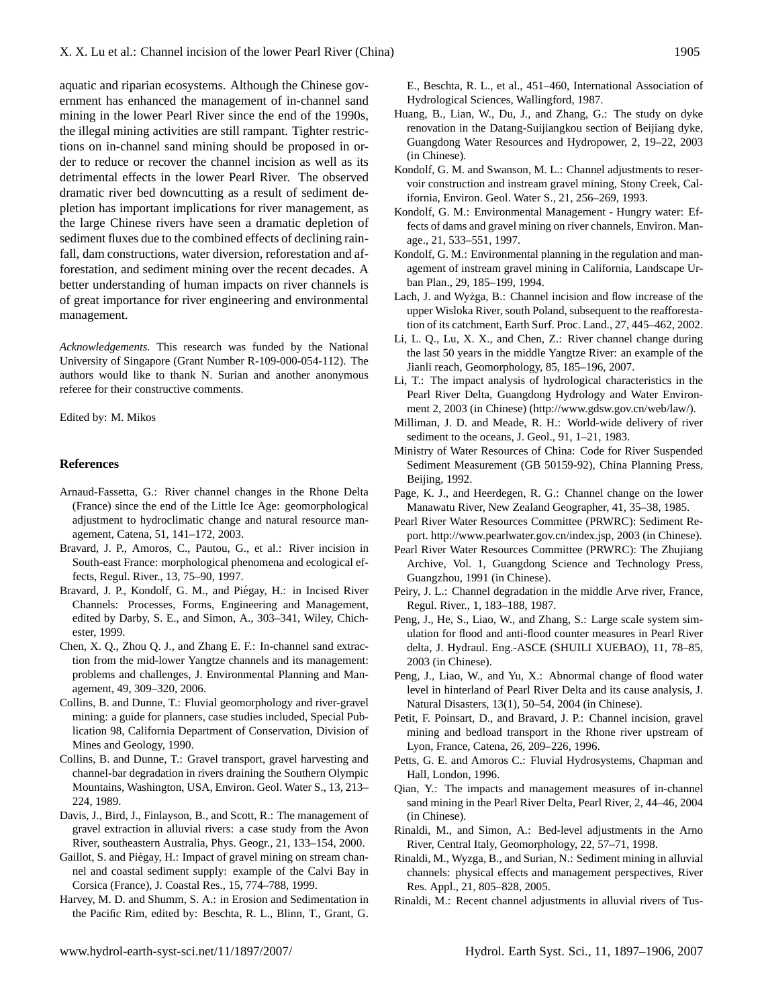aquatic and riparian ecosystems. Although the Chinese government has enhanced the management of in-channel sand mining in the lower Pearl River since the end of the 1990s, the illegal mining activities are still rampant. Tighter restrictions on in-channel sand mining should be proposed in order to reduce or recover the channel incision as well as its detrimental effects in the lower Pearl River. The observed dramatic river bed downcutting as a result of sediment depletion has important implications for river management, as the large Chinese rivers have seen a dramatic depletion of sediment fluxes due to the combined effects of declining rainfall, dam constructions, water diversion, reforestation and afforestation, and sediment mining over the recent decades. A better understanding of human impacts on river channels is of great importance for river engineering and environmental management.

*Acknowledgements.* This research was funded by the National University of Singapore (Grant Number R-109-000-054-112). The authors would like to thank N. Surian and another anonymous referee for their constructive comments.

Edited by: M. Mikos

## **References**

- Arnaud-Fassetta, G.: River channel changes in the Rhone Delta (France) since the end of the Little Ice Age: geomorphological adjustment to hydroclimatic change and natural resource management, Catena, 51, 141–172, 2003.
- Bravard, J. P., Amoros, C., Pautou, G., et al.: River incision in South-east France: morphological phenomena and ecological effects, Regul. River., 13, 75–90, 1997.
- Bravard, J. P., Kondolf, G. M., and Piégay, H.: in Incised River Channels: Processes, Forms, Engineering and Management, edited by Darby, S. E., and Simon, A., 303–341, Wiley, Chichester, 1999.
- Chen, X. Q., Zhou Q. J., and Zhang E. F.: In-channel sand extraction from the mid-lower Yangtze channels and its management: problems and challenges, J. Environmental Planning and Management, 49, 309–320, 2006.
- Collins, B. and Dunne, T.: Fluvial geomorphology and river-gravel mining: a guide for planners, case studies included, Special Publication 98, California Department of Conservation, Division of Mines and Geology, 1990.
- Collins, B. and Dunne, T.: Gravel transport, gravel harvesting and channel-bar degradation in rivers draining the Southern Olympic Mountains, Washington, USA, Environ. Geol. Water S., 13, 213– 224, 1989.
- Davis, J., Bird, J., Finlayson, B., and Scott, R.: The management of gravel extraction in alluvial rivers: a case study from the Avon River, southeastern Australia, Phys. Geogr., 21, 133–154, 2000.
- Gaillot, S. and Piégay, H.: Impact of gravel mining on stream channel and coastal sediment supply: example of the Calvi Bay in Corsica (France), J. Coastal Res., 15, 774–788, 1999.
- Harvey, M. D. and Shumm, S. A.: in Erosion and Sedimentation in the Pacific Rim, edited by: Beschta, R. L., Blinn, T., Grant, G.

E., Beschta, R. L., et al., 451–460, International Association of Hydrological Sciences, Wallingford, 1987.

- Huang, B., Lian, W., Du, J., and Zhang, G.: The study on dyke renovation in the Datang-Suijiangkou section of Beijiang dyke, Guangdong Water Resources and Hydropower, 2, 19–22, 2003 (in Chinese).
- Kondolf, G. M. and Swanson, M. L.: Channel adjustments to reservoir construction and instream gravel mining, Stony Creek, California, Environ. Geol. Water S., 21, 256–269, 1993.
- Kondolf, G. M.: Environmental Management Hungry water: Effects of dams and gravel mining on river channels, Environ. Manage., 21, 533–551, 1997.
- Kondolf, G. M.: Environmental planning in the regulation and management of instream gravel mining in California, Landscape Urban Plan., 29, 185–199, 1994.
- Lach, J. and Wyżga, B.: Channel incision and flow increase of the upper Wisloka River, south Poland, subsequent to the reafforestation of its catchment, Earth Surf. Proc. Land., 27, 445–462, 2002.
- Li, L. Q., Lu, X. X., and Chen, Z.: River channel change during the last 50 years in the middle Yangtze River: an example of the Jianli reach, Geomorphology, 85, 185–196, 2007.
- Li, T.: The impact analysis of hydrological characteristics in the Pearl River Delta, Guangdong Hydrology and Water Environment 2, 2003 (in Chinese) [\(http://www.gdsw.gov.cn/web/law/\)](http://www.gdsw.gov.cn/web/law/).
- Milliman, J. D. and Meade, R. H.: World-wide delivery of river sediment to the oceans, J. Geol., 91, 1–21, 1983.
- Ministry of Water Resources of China: Code for River Suspended Sediment Measurement (GB 50159-92), China Planning Press, Beijing, 1992.
- Page, K. J., and Heerdegen, R. G.: Channel change on the lower Manawatu River, New Zealand Geographer, 41, 35–38, 1985.
- Pearl River Water Resources Committee (PRWRC): Sediment Report. [http://www.pearlwater.gov.cn/index.jsp,](http://www.pearlwater.gov.cn/index.jsp) 2003 (in Chinese).
- Pearl River Water Resources Committee (PRWRC): The Zhujiang Archive, Vol. 1, Guangdong Science and Technology Press, Guangzhou, 1991 (in Chinese).
- Peiry, J. L.: Channel degradation in the middle Arve river, France, Regul. River., 1, 183–188, 1987.
- Peng, J., He, S., Liao, W., and Zhang, S.: Large scale system simulation for flood and anti-flood counter measures in Pearl River delta, J. Hydraul. Eng.-ASCE (SHUILI XUEBAO), 11, 78–85, 2003 (in Chinese).
- Peng, J., Liao, W., and Yu, X.: Abnormal change of flood water level in hinterland of Pearl River Delta and its cause analysis, J. Natural Disasters, 13(1), 50–54, 2004 (in Chinese).
- Petit, F. Poinsart, D., and Bravard, J. P.: Channel incision, gravel mining and bedload transport in the Rhone river upstream of Lyon, France, Catena, 26, 209–226, 1996.
- Petts, G. E. and Amoros C.: Fluvial Hydrosystems, Chapman and Hall, London, 1996.
- Qian, Y.: The impacts and management measures of in-channel sand mining in the Pearl River Delta, Pearl River, 2, 44–46, 2004 (in Chinese).
- Rinaldi, M., and Simon, A.: Bed-level adjustments in the Arno River, Central Italy, Geomorphology, 22, 57–71, 1998.
- Rinaldi, M., Wyzga, B., and Surian, N.: Sediment mining in alluvial channels: physical effects and management perspectives, River Res. Appl., 21, 805–828, 2005.
- Rinaldi, M.: Recent channel adjustments in alluvial rivers of Tus-